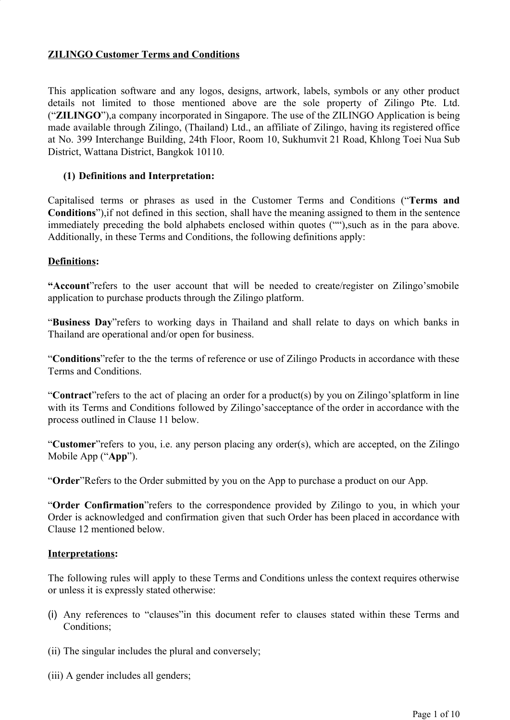### **ZILINGO Customer Terms and Conditions**

This application software and any logos, designs, artwork, labels, symbols or any other product details not limited to those mentioned above are the sole property of Zilingo Pte. Ltd. ("**ZILINGO**"),a company incorporated in Singapore. The use of the ZILINGO Application is being made available through Zilingo, (Thailand) Ltd., an affiliate of Zilingo, having its registered office at No. 399 Interchange Building, 24th Floor, Room 10, Sukhumvit 21 Road, Khlong Toei Nua Sub District, Wattana District, Bangkok 10110.

#### **(1) Definitions and Interpretation:**

Capitalised terms or phrases as used in the Customer Terms and Conditions ("**Terms and Conditions**"),if not defined in this section, shall have the meaning assigned to them in the sentence immediately preceding the bold alphabets enclosed within quotes (""),such as in the para above. Additionally, in these Terms and Conditions, the following definitions apply:

#### **Definitions:**

**"Account**"refers to the user account that will be needed to create/register on Zilingo'smobile application to purchase products through the Zilingo platform.

"**Business Day**"refers to working days in Thailand and shall relate to days on which banks in Thailand are operational and/or open for business.

"**Conditions**"refer to the the terms of reference or use of Zilingo Products in accordance with these Terms and Conditions.

"**Contract**"refers to the act of placing an order for a product(s) by you on Zilingo'splatform in line with its Terms and Conditions followed by Zilingo'sacceptance of the order in accordance with the process outlined in Clause 11 below.

"**Customer**"refers to you, i.e. any person placing any order(s), which are accepted, on the Zilingo Mobile App ("**App**").

"**Order**"Refers to the Order submitted by you on the App to purchase a product on our App.

"**Order Confirmation**"refers to the correspondence provided by Zilingo to you, in which your Order is acknowledged and confirmation given that such Order has been placed in accordance with Clause 12 mentioned below.

#### **Interpretations:**

The following rules will apply to these Terms and Conditions unless the context requires otherwise or unless it is expressly stated otherwise:

- (i) Any references to "clauses"in this document refer to clauses stated within these Terms and Conditions;
- (ii) The singular includes the plural and conversely;
- (iii) A gender includes all genders;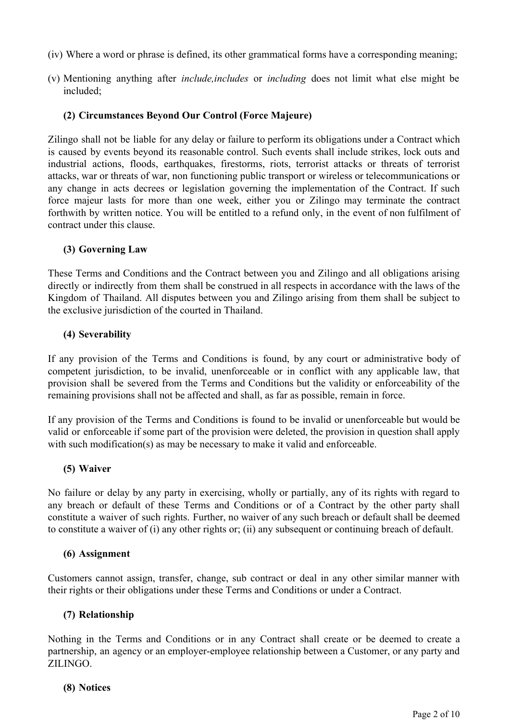- (iv) Where a word or phrase is defined, its other grammatical forms have a corresponding meaning;
- (v) Mentioning anything after *include,includes* or *including* does not limit what else might be included;

### **(2) Circumstances Beyond Our Control (Force Majeure)**

Zilingo shall not be liable for any delay or failure to perform its obligations under a Contract which is caused by events beyond its reasonable control. Such events shall include strikes, lock outs and industrial actions, floods, earthquakes, firestorms, riots, terrorist attacks or threats of terrorist attacks, war or threats of war, non functioning public transport or wireless or telecommunications or any change in acts decrees or legislation governing the implementation of the Contract. If such force majeur lasts for more than one week, either you or Zilingo may terminate the contract forthwith by written notice. You will be entitled to a refund only, in the event of non fulfilment of contract under this clause.

### **(3) Governing Law**

These Terms and Conditions and the Contract between you and Zilingo and all obligations arising directly or indirectly from them shall be construed in all respects in accordance with the laws of the Kingdom of Thailand. All disputes between you and Zilingo arising from them shall be subject to the exclusive jurisdiction of the courted in Thailand.

### **(4) Severability**

If any provision of the Terms and Conditions is found, by any court or administrative body of competent jurisdiction, to be invalid, unenforceable or in conflict with any applicable law, that provision shall be severed from the Terms and Conditions but the validity or enforceability of the remaining provisions shall not be affected and shall, as far as possible, remain in force.

If any provision of the Terms and Conditions is found to be invalid or unenforceable but would be valid or enforceable if some part of the provision were deleted, the provision in question shall apply with such modification(s) as may be necessary to make it valid and enforceable.

### **(5) Waiver**

No failure or delay by any party in exercising, wholly or partially, any of its rights with regard to any breach or default of these Terms and Conditions or of a Contract by the other party shall constitute a waiver of such rights. Further, no waiver of any such breach or default shall be deemed to constitute a waiver of (i) any other rights or; (ii) any subsequent or continuing breach of default.

#### **(6) Assignment**

Customers cannot assign, transfer, change, sub contract or deal in any other similar manner with their rights or their obligations under these Terms and Conditions or under a Contract.

### **(7) Relationship**

Nothing in the Terms and Conditions or in any Contract shall create or be deemed to create a partnership, an agency or an employer-employee relationship between a Customer, or any party and ZILINGO.

#### **(8) Notices**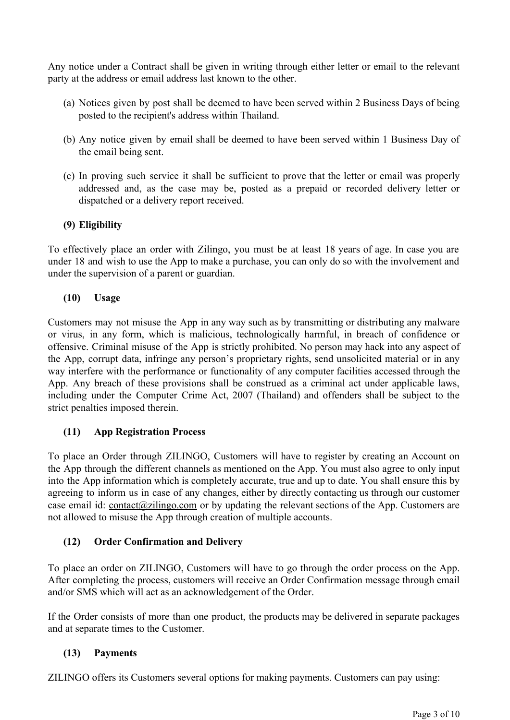Any notice under a Contract shall be given in writing through either letter or email to the relevant party at the address or email address last known to the other.

- (a) Notices given by post shall be deemed to have been served within 2 Business Days of being posted to the recipient's address within Thailand.
- (b) Any notice given by email shall be deemed to have been served within 1 Business Day of the email being sent.
- (c) In proving such service it shall be sufficient to prove that the letter or email was properly addressed and, as the case may be, posted as a prepaid or recorded delivery letter or dispatched or a delivery report received.

## **(9) Eligibility**

To effectively place an order with Zilingo, you must be at least 18 years of age. In case you are under 18 and wish to use the App to make a purchase, you can only do so with the involvement and under the supervision of a parent or guardian.

### **(10) Usage**

Customers may not misuse the App in any way such as by transmitting or distributing any malware or virus, in any form, which is malicious, technologically harmful, in breach of confidence or offensive. Criminal misuse of the App is strictly prohibited. No person may hack into any aspect of the App, corrupt data, infringe any person's proprietary rights, send unsolicited material or in any way interfere with the performance or functionality of any computer facilities accessed through the App. Any breach of these provisions shall be construed as a criminal act under applicable laws, including under the Computer Crime Act, 2007 (Thailand) and offenders shall be subject to the strict penalties imposed therein.

### **(11) App Registration Process**

To place an Order through ZILINGO, Customers will have to register by creating an Account on the App through the different channels as mentioned on the App. You must also agree to only input into the App information which is completely accurate, true and up to date. You shall ensure this by agreeing to inform us in case of any changes, either by directly contacting us through our customer case email id: contact@zilingo.com or by updating the relevant sections of the App. Customers are not allowed to misuse the App through creation of multiple accounts.

### **(12) Order Confirmation and Delivery**

To place an order on ZILINGO, Customers will have to go through the order process on the App. After completing the process, customers will receive an Order Confirmation message through email and/or SMS which will act as an acknowledgement of the Order.

If the Order consists of more than one product, the products may be delivered in separate packages and at separate times to the Customer.

### **(13) Payments**

ZILINGO offers its Customers several options for making payments. Customers can pay using: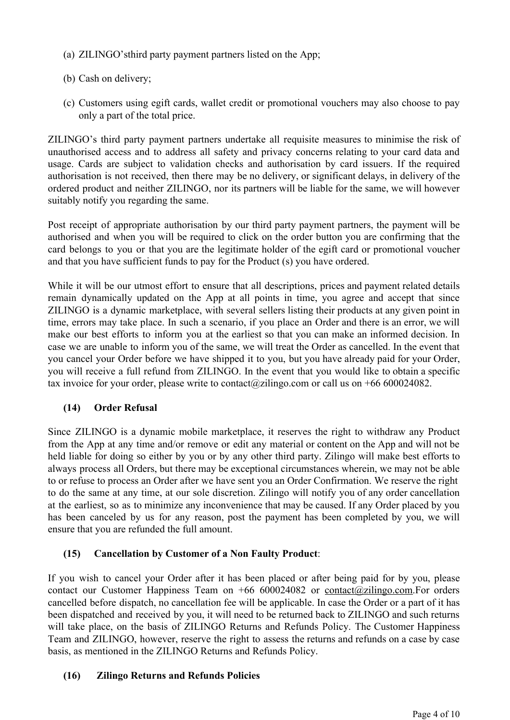- (a) ZILINGO'sthird party payment partners listed on the App;
- (b) Cash on delivery;
- (c) Customers using egift cards, wallet credit or promotional vouchers may also choose to pay only a part of the total price.

ZILINGO's third party payment partners undertake all requisite measures to minimise the risk of unauthorised access and to address all safety and privacy concerns relating to your card data and usage. Cards are subject to validation checks and authorisation by card issuers. If the required authorisation is not received, then there may be no delivery, or significant delays, in delivery of the ordered product and neither ZILINGO, nor its partners will be liable for the same, we will however suitably notify you regarding the same.

Post receipt of appropriate authorisation by our third party payment partners, the payment will be authorised and when you will be required to click on the order button you are confirming that the card belongs to you or that you are the legitimate holder of the egift card or promotional voucher and that you have sufficient funds to pay for the Product (s) you have ordered.

While it will be our utmost effort to ensure that all descriptions, prices and payment related details remain dynamically updated on the App at all points in time, you agree and accept that since ZILINGO is a dynamic marketplace, with several sellers listing their products at any given point in time, errors may take place. In such a scenario, if you place an Order and there is an error, we will make our best efforts to inform you at the earliest so that you can make an informed decision. In case we are unable to inform you of the same, we will treat the Order as cancelled. In the event that you cancel your Order before we have shipped it to you, but you have already paid for your Order, you will receive a full refund from ZILINGO. In the event that you would like to obtain a specific tax invoice for your order, please write to contact@zilingo.com or call us on +66 600024082.

# **(14) Order Refusal**

Since ZILINGO is a dynamic mobile marketplace, it reserves the right to withdraw any Product from the App at any time and/or remove or edit any material or content on the App and will not be held liable for doing so either by you or by any other third party. Zilingo will make best efforts to always process all Orders, but there may be exceptional circumstances wherein, we may not be able to or refuse to process an Order after we have sent you an Order Confirmation. We reserve the right to do the same at any time, at our sole discretion. Zilingo will notify you of any order cancellation at the earliest, so as to minimize any inconvenience that may be caused. If any Order placed by you has been canceled by us for any reason, post the payment has been completed by you, we will ensure that you are refunded the full amount.

# **(15) Cancellation by Customer of a Non Faulty Product**:

If you wish to cancel your Order after it has been placed or after being paid for by you, please contact our Customer Happiness Team on +66 600024082 or [contact@zilingo.com.](mailto:contact@zilingo.com)For orders cancelled before dispatch, no cancellation fee will be applicable. In case the Order or a part of it has been dispatched and received by you, it will need to be returned back to ZILINGO and such returns will take place, on the basis of ZILINGO Returns and Refunds Policy. The Customer Happiness Team and ZILINGO, however, reserve the right to assess the returns and refunds on a case by case basis, as mentioned in the ZILINGO Returns and Refunds Policy.

# **(16) Zilingo Returns and Refunds Policies**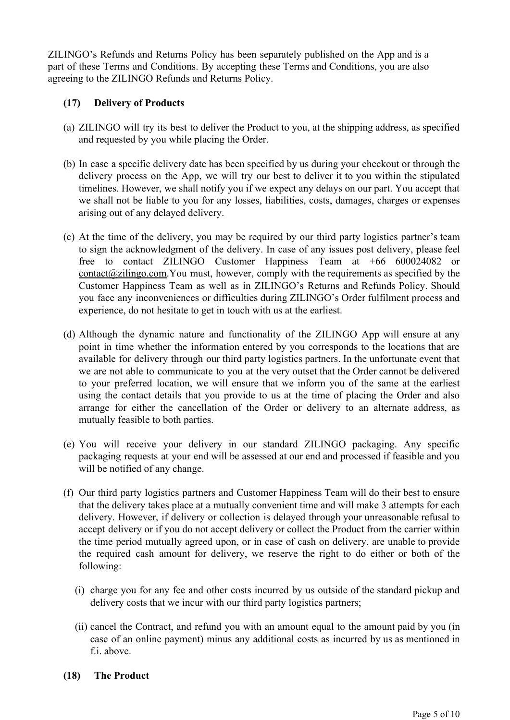ZILINGO's Refunds and Returns Policy has been separately published on the App and is a part of these Terms and Conditions. By accepting these Terms and Conditions, you are also agreeing to the ZILINGO Refunds and Returns Policy.

# **(17) Delivery of Products**

- (a) ZILINGO will try its best to deliver the Product to you, at the shipping address, as specified and requested by you while placing the Order.
- (b) In case a specific delivery date has been specified by us during your checkout or through the delivery process on the App, we will try our best to deliver it to you within the stipulated timelines. However, we shall notify you if we expect any delays on our part. You accept that we shall not be liable to you for any losses, liabilities, costs, damages, charges or expenses arising out of any delayed delivery.
- (c) At the time of the delivery, you may be required by our third party logistics partner's team to sign the acknowledgment of the delivery. In case of any issues post delivery, please feel free to contact ZILINGO Customer Happiness Team at +66 600024082 or [contact@zilingo.com.](mailto:contact@zilingo.com)You must, however, comply with the requirements as specified by the Customer Happiness Team as well as in ZILINGO's Returns and Refunds Policy. Should you face any inconveniences or difficulties during ZILINGO's Order fulfilment process and experience, do not hesitate to get in touch with us at the earliest.
- (d) Although the dynamic nature and functionality of the ZILINGO App will ensure at any point in time whether the information entered by you corresponds to the locations that are available for delivery through our third party logistics partners. In the unfortunate event that we are not able to communicate to you at the very outset that the Order cannot be delivered to your preferred location, we will ensure that we inform you of the same at the earliest using the contact details that you provide to us at the time of placing the Order and also arrange for either the cancellation of the Order or delivery to an alternate address, as mutually feasible to both parties.
- (e) You will receive your delivery in our standard ZILINGO packaging. Any specific packaging requests at your end will be assessed at our end and processed if feasible and you will be notified of any change.
- (f) Our third party logistics partners and Customer Happiness Team will do their best to ensure that the delivery takes place at a mutually convenient time and will make 3 attempts for each delivery. However, if delivery or collection is delayed through your unreasonable refusal to accept delivery or if you do not accept delivery or collect the Product from the carrier within the time period mutually agreed upon, or in case of cash on delivery, are unable to provide the required cash amount for delivery, we reserve the right to do either or both of the following:
	- (i) charge you for any fee and other costs incurred by us outside of the standard pickup and delivery costs that we incur with our third party logistics partners;
	- (ii) cancel the Contract, and refund you with an amount equal to the amount paid by you (in case of an online payment) minus any additional costs as incurred by us as mentioned in f *i* above
- **(18) The Product**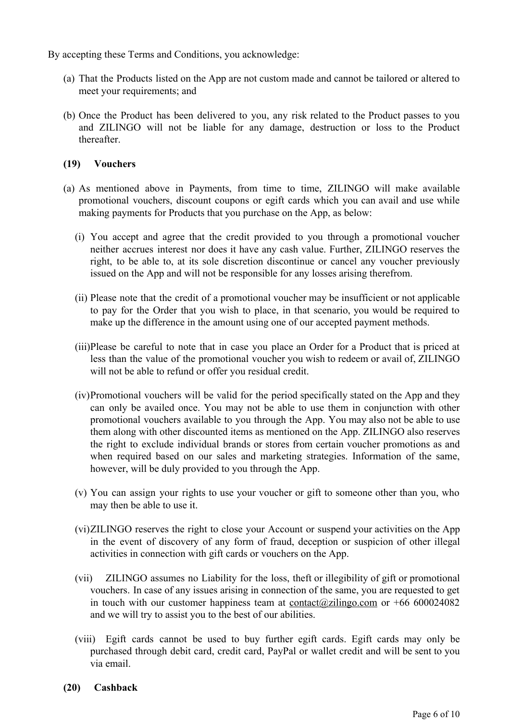By accepting these Terms and Conditions, you acknowledge:

- (a) That the Products listed on the App are not custom made and cannot be tailored or altered to meet your requirements; and
- (b) Once the Product has been delivered to you, any risk related to the Product passes to you and ZILINGO will not be liable for any damage, destruction or loss to the Product thereafter.

### **(19) Vouchers**

- (a) As mentioned above in Payments, from time to time, ZILINGO will make available promotional vouchers, discount coupons or egift cards which you can avail and use while making payments for Products that you purchase on the App, as below:
	- (i) You accept and agree that the credit provided to you through a promotional voucher neither accrues interest nor does it have any cash value. Further, ZILINGO reserves the right, to be able to, at its sole discretion discontinue or cancel any voucher previously issued on the App and will not be responsible for any losses arising therefrom.
	- (ii) Please note that the credit of a promotional voucher may be insufficient or not applicable to pay for the Order that you wish to place, in that scenario, you would be required to make up the difference in the amount using one of our accepted payment methods.
	- (iii)Please be careful to note that in case you place an Order for a Product that is priced at less than the value of the promotional voucher you wish to redeem or avail of, ZILINGO will not be able to refund or offer you residual credit.
	- (iv)Promotional vouchers will be valid for the period specifically stated on the App and they can only be availed once. You may not be able to use them in conjunction with other promotional vouchers available to you through the App. You may also not be able to use them along with other discounted items as mentioned on the App. ZILINGO also reserves the right to exclude individual brands or stores from certain voucher promotions as and when required based on our sales and marketing strategies. Information of the same, however, will be duly provided to you through the App.
	- (v) You can assign your rights to use your voucher or gift to someone other than you, who may then be able to use it.
	- (vi)ZILINGO reserves the right to close your Account or suspend your activities on the App in the event of discovery of any form of fraud, deception or suspicion of other illegal activities in connection with gift cards or vouchers on the App.
	- (vii) ZILINGO assumes no Liability for the loss, theft or illegibility of gift or promotional vouchers. In case of any issues arising in connection of the same, you are requested to get in touch with our customer happiness team at [contact@zilingo.com](mailto:contact@zilingo.com) [o](mailto:contact@zilingo.com)r +66 600024082 and we will try to assist you to the best of our abilities.
	- (viii) Egift cards cannot be used to buy further egift cards. Egift cards may only be purchased through debit card, credit card, PayPal or wallet credit and will be sent to you via email.
- **(20) Cashback**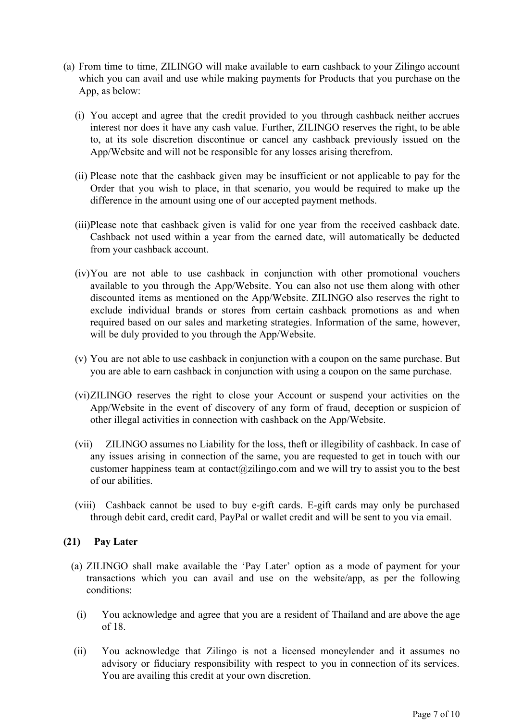- (a) From time to time, ZILINGO will make available to earn cashback to your Zilingo account which you can avail and use while making payments for Products that you purchase on the App, as below:
	- (i) You accept and agree that the credit provided to you through cashback neither accrues interest nor does it have any cash value. Further, ZILINGO reserves the right, to be able to, at its sole discretion discontinue or cancel any cashback previously issued on the App/Website and will not be responsible for any losses arising therefrom.
	- (ii) Please note that the cashback given may be insufficient or not applicable to pay for the Order that you wish to place, in that scenario, you would be required to make up the difference in the amount using one of our accepted payment methods.
	- (iii)Please note that cashback given is valid for one year from the received cashback date. Cashback not used within a year from the earned date, will automatically be deducted from your cashback account.
	- (iv)You are not able to use cashback in conjunction with other promotional vouchers available to you through the App/Website. You can also not use them along with other discounted items as mentioned on the App/Website. ZILINGO also reserves the right to exclude individual brands or stores from certain cashback promotions as and when required based on our sales and marketing strategies. Information of the same, however, will be duly provided to you through the App/Website.
	- (v) You are not able to use cashback in conjunction with a coupon on the same purchase. But you are able to earn cashback in conjunction with using a coupon on the same purchase.
	- (vi)ZILINGO reserves the right to close your Account or suspend your activities on the App/Website in the event of discovery of any form of fraud, deception or suspicion of other illegal activities in connection with cashback on the App/Website.
	- (vii) ZILINGO assumes no Liability for the loss, theft or illegibility of cashback. In case of any issues arising in connection of the same, you are requested to get in touch with our customer happiness team at contact@zilingo.com and we will try to assist you to the best of our abilities.
	- (viii) Cashback cannot be used to buy e-gift cards. E-gift cards may only be purchased through debit card, credit card, PayPal or wallet credit and will be sent to you via email.

### **(21) Pay Later**

- (a) ZILINGO shall make available the 'Pay Later' option as a mode of payment for your transactions which you can avail and use on the website/app, as per the following conditions:
	- (i) You acknowledge and agree that you are a resident of Thailand and are above the age of 18.
- (ii) You acknowledge that Zilingo is not a licensed moneylender and it assumes no advisory or fiduciary responsibility with respect to you in connection of its services. You are availing this credit at your own discretion.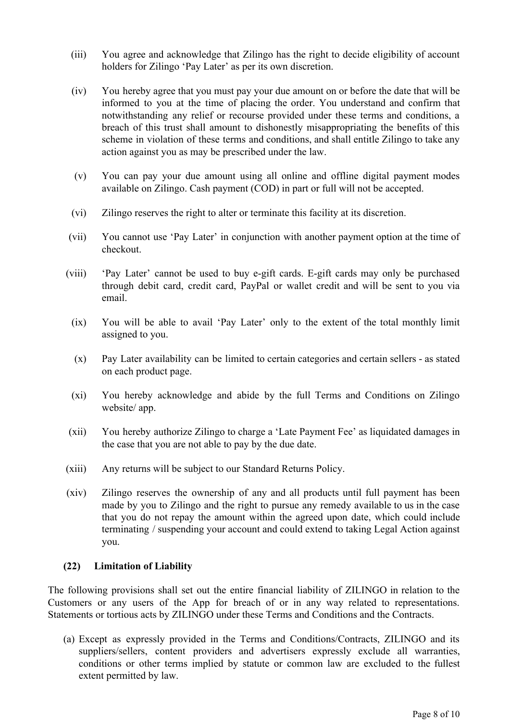- (iii) You agree and acknowledge that Zilingo has the right to decide eligibility of account holders for Zilingo 'Pay Later' as per its own discretion.
- (iv) You hereby agree that you must pay your due amount on or before the date that will be informed to you at the time of placing the order. You understand and confirm that notwithstanding any relief or recourse provided under these terms and conditions, a breach of this trust shall amount to dishonestly misappropriating the benefits of this scheme in violation of these terms and conditions, and shall entitle Zilingo to take any action against you as may be prescribed under the law.
- (v) You can pay your due amount using all online and offline digital payment modes available on Zilingo. Cash payment (COD) in part or full will not be accepted.
- (vi) Zilingo reserves the right to alter or terminate this facility at its discretion.
- (vii) You cannot use 'Pay Later' in conjunction with another payment option at the time of checkout.
- (viii) 'Pay Later' cannot be used to buy e-gift cards. E-gift cards may only be purchased through debit card, credit card, PayPal or wallet credit and will be sent to you via email.
- (ix) You will be able to avail 'Pay Later' only to the extent of the total monthly limit assigned to you.
- (x) Pay Later availability can be limited to certain categories and certain sellers as stated on each product page.
- (xi) You hereby acknowledge and abide by the full Terms and Conditions on Zilingo website/ app.
- (xii) You hereby authorize Zilingo to charge a 'Late Payment Fee' as liquidated damages in the case that you are not able to pay by the due date.
- (xiii) Any returns will be subject to our Standard Returns Policy.
- (xiv) Zilingo reserves the ownership of any and all products until full payment has been made by you to Zilingo and the right to pursue any remedy available to us in the case that you do not repay the amount within the agreed upon date, which could include terminating / suspending your account and could extend to taking Legal Action against you.

#### **(22) Limitation of Liability**

The following provisions shall set out the entire financial liability of ZILINGO in relation to the Customers or any users of the App for breach of or in any way related to representations. Statements or tortious acts by ZILINGO under these Terms and Conditions and the Contracts.

(a) Except as expressly provided in the Terms and Conditions/Contracts, ZILINGO and its suppliers/sellers, content providers and advertisers expressly exclude all warranties, conditions or other terms implied by statute or common law are excluded to the fullest extent permitted by law.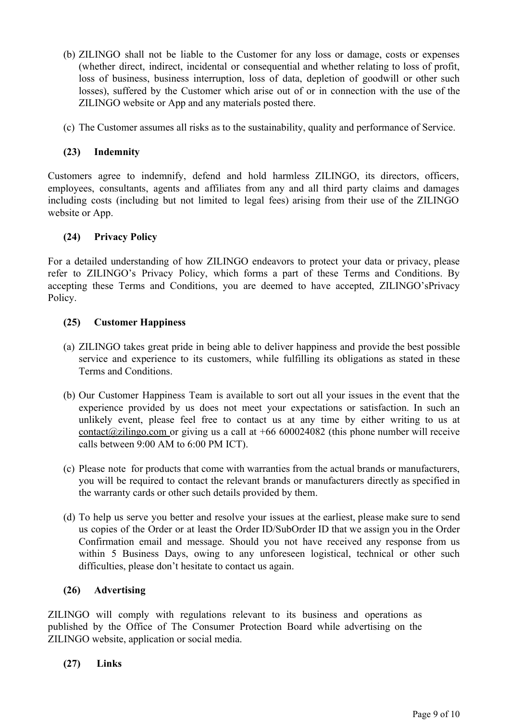- (b) ZILINGO shall not be liable to the Customer for any loss or damage, costs or expenses (whether direct, indirect, incidental or consequential and whether relating to loss of profit, loss of business, business interruption, loss of data, depletion of goodwill or other such losses), suffered by the Customer which arise out of or in connection with the use of the ZILINGO website or App and any materials posted there.
- (c) The Customer assumes all risks as to the sustainability, quality and performance of Service.

### **(23) Indemnity**

Customers agree to indemnify, defend and hold harmless ZILINGO, its directors, officers, employees, consultants, agents and affiliates from any and all third party claims and damages including costs (including but not limited to legal fees) arising from their use of the ZILINGO website or App.

#### **(24) Privacy Policy**

For a detailed understanding of how ZILINGO endeavors to protect your data or privacy, please refer to ZILINGO's Privacy Policy, which forms a part of these Terms and Conditions. By accepting these Terms and Conditions, you are deemed to have accepted, ZILINGO'sPrivacy Policy.

#### **(25) Customer Happiness**

- (a) ZILINGO takes great pride in being able to deliver happiness and provide the best possible service and experience to its customers, while fulfilling its obligations as stated in these Terms and Conditions.
- (b) Our Customer Happiness Team is available to sort out all your issues in the event that the experience provided by us does not meet your expectations or satisfaction. In such an unlikely event, please feel free to contact us at any time by either writing to us at [contact@zilingo.com](mailto:contact@zilingo.com) or giving us a call at  $+66\,600024082$  (this phone number will receive calls between 9:00 AM to 6:00 PM ICT).
- (c) Please note for products that come with warranties from the actual brands or manufacturers, you will be required to contact the relevant brands or manufacturers directly as specified in the warranty cards or other such details provided by them.
- (d) To help us serve you better and resolve your issues at the earliest, please make sure to send us copies of the Order or at least the Order ID/SubOrder ID that we assign you in the Order Confirmation email and message. Should you not have received any response from us within 5 Business Days, owing to any unforeseen logistical, technical or other such difficulties, please don't hesitate to contact us again.

#### **(26) Advertising**

ZILINGO will comply with regulations relevant to its business and operations as published by the Office of The Consumer Protection Board while advertising on the ZILINGO website, application or social media.

**(27) Links**